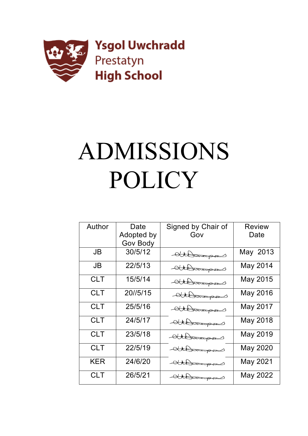

# ADMISSIONS POLICY

| Author     | Date       | Signed by Chair of | <b>Review</b>   |
|------------|------------|--------------------|-----------------|
|            |            |                    |                 |
|            | Adopted by | Gov                | Date            |
|            | Gov Body   |                    |                 |
| <b>JB</b>  | 30/5/12    | Athorous           | May 2013        |
| <b>JB</b>  | 22/5/13    | Athorough          | May 2014        |
| <b>CLT</b> | 15/5/14    | Athorous           | May 2015        |
| <b>CLT</b> | 20//5/15   | Athorous           | <b>May 2016</b> |
| <b>CLT</b> | 25/5/16    | Athorous           | <b>May 2017</b> |
| <b>CLT</b> | 24/5/17    | Compressed         | <b>May 2018</b> |
| <b>CLT</b> | 23/5/18    | Athorous           | <b>May 2019</b> |
| <b>CLT</b> | 22/5/19    | dttomagen          | <b>May 2020</b> |
| KER        | 24/6/20    | attorough          | <b>May 2021</b> |
| <b>CLT</b> | 26/5/21    | Athorous           | May 2022        |